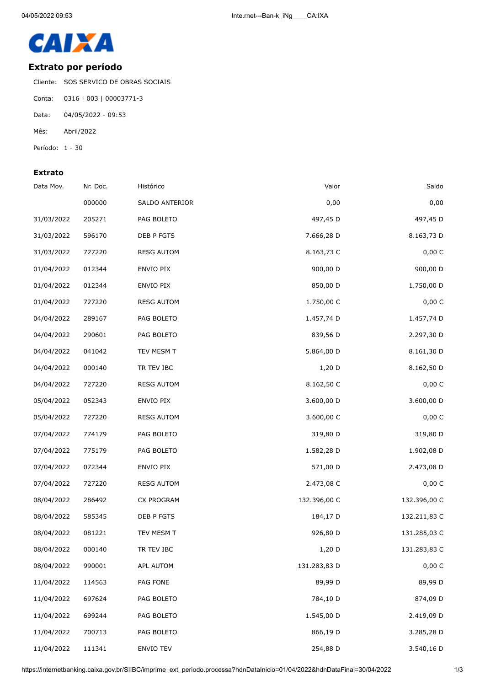

## **Extrato por período**

Cliente: SOS SERVICO DE OBRAS SOCIAIS

- Conta: 0316 | 003 | 00003771-3
- Data: 04/05/2022 09:53
- Mês: Abril/2022
- Período: 1 30

## **Extrato**

| Data Mov.  | Nr. Doc. | Histórico         | Valor        | Saldo        |
|------------|----------|-------------------|--------------|--------------|
|            | 000000   | SALDO ANTERIOR    | 0,00         | 0,00         |
| 31/03/2022 | 205271   | PAG BOLETO        | 497,45 D     | 497,45 D     |
| 31/03/2022 | 596170   | DEB P FGTS        | 7.666,28 D   | 8.163,73 D   |
| 31/03/2022 | 727220   | <b>RESG AUTOM</b> | 8.163,73 C   | 0,00C        |
| 01/04/2022 | 012344   | ENVIO PIX         | 900,00 D     | 900,00 D     |
| 01/04/2022 | 012344   | ENVIO PIX         | 850,00 D     | 1.750,00 D   |
| 01/04/2022 | 727220   | <b>RESG AUTOM</b> | 1.750,00 C   | 0,00 C       |
| 04/04/2022 | 289167   | PAG BOLETO        | 1.457,74 D   | 1.457,74 D   |
| 04/04/2022 | 290601   | PAG BOLETO        | 839,56 D     | 2.297,30 D   |
| 04/04/2022 | 041042   | TEV MESM T        | 5.864,00 D   | 8.161,30 D   |
| 04/04/2022 | 000140   | TR TEV IBC        | 1,20 D       | 8.162,50 D   |
| 04/04/2022 | 727220   | <b>RESG AUTOM</b> | 8.162,50 C   | 0,00 C       |
| 05/04/2022 | 052343   | ENVIO PIX         | 3.600,00 D   | 3.600,00 D   |
| 05/04/2022 | 727220   | <b>RESG AUTOM</b> | 3.600,00 C   | 0,00 C       |
| 07/04/2022 | 774179   | PAG BOLETO        | 319,80 D     | 319,80 D     |
| 07/04/2022 | 775179   | PAG BOLETO        | 1.582,28 D   | 1.902,08 D   |
| 07/04/2022 | 072344   | ENVIO PIX         | 571,00 D     | 2.473,08 D   |
| 07/04/2022 | 727220   | <b>RESG AUTOM</b> | 2.473,08 C   | 0,00 C       |
| 08/04/2022 | 286492   | CX PROGRAM        | 132.396,00 C | 132.396,00 C |
| 08/04/2022 | 585345   | DEB P FGTS        | 184,17 D     | 132.211,83 C |
| 08/04/2022 | 081221   | TEV MESM T        | 926,80 D     | 131.285,03 C |
| 08/04/2022 | 000140   | TR TEV IBC        | 1,20 D       | 131.283,83 C |
| 08/04/2022 | 990001   | APL AUTOM         | 131.283,83 D | 0,00 C       |
| 11/04/2022 | 114563   | PAG FONE          | 89,99 D      | 89,99 D      |
| 11/04/2022 | 697624   | PAG BOLETO        | 784,10 D     | 874,09 D     |
| 11/04/2022 | 699244   | PAG BOLETO        | 1.545,00 D   | 2.419,09 D   |
| 11/04/2022 | 700713   | PAG BOLETO        | 866,19 D     | 3.285,28 D   |
| 11/04/2022 | 111341   | ENVIO TEV         | 254,88 D     | 3.540,16 D   |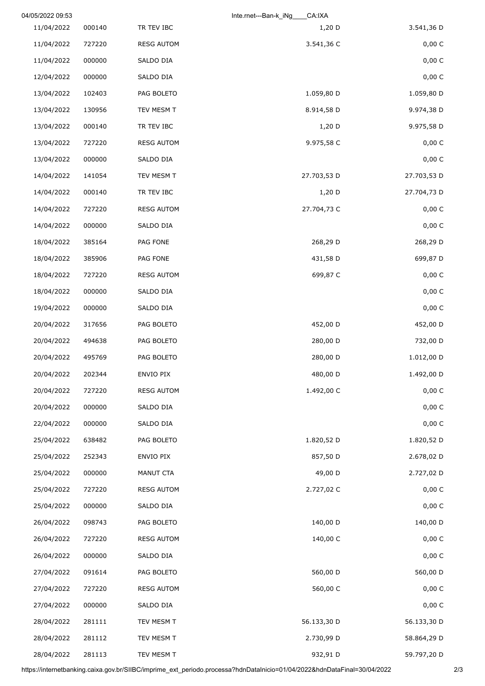|             | CA:IXA<br>Inte.rnet---Ban-k iNg |                   |        | 04/05/2022 09:53 |
|-------------|---------------------------------|-------------------|--------|------------------|
| 3.541,36 D  | $1,20$ D                        | TR TEV IBC        | 000140 | 11/04/2022       |
| 0,00 C      | 3.541,36 C                      | <b>RESG AUTOM</b> | 727220 | 11/04/2022       |
| 0,00 C      |                                 | SALDO DIA         | 000000 | 11/04/2022       |
| 0,00 C      |                                 | SALDO DIA         | 000000 | 12/04/2022       |
| 1.059,80 D  | 1.059,80 D                      | PAG BOLETO        | 102403 | 13/04/2022       |
| 9.974,38 D  | 8.914,58 D                      | TEV MESM T        | 130956 | 13/04/2022       |
| 9.975,58 D  | $1,20$ D                        | TR TEV IBC        | 000140 | 13/04/2022       |
| 0,00 C      | 9.975,58 C                      | <b>RESG AUTOM</b> | 727220 | 13/04/2022       |
| 0,00 C      |                                 | SALDO DIA         | 000000 | 13/04/2022       |
| 27.703,53 D | 27.703,53 D                     | TEV MESM T        | 141054 | 14/04/2022       |
| 27.704,73 D | 1,20 D                          | TR TEV IBC        | 000140 | 14/04/2022       |
| 0,00 C      | 27.704,73 C                     | <b>RESG AUTOM</b> | 727220 | 14/04/2022       |
| 0,00 C      |                                 | SALDO DIA         | 000000 | 14/04/2022       |
| 268,29 D    | 268,29 D                        | PAG FONE          | 385164 | 18/04/2022       |
| 699,87 D    | 431,58 D                        | PAG FONE          | 385906 | 18/04/2022       |
| 0,00 C      | 699,87 C                        | <b>RESG AUTOM</b> | 727220 | 18/04/2022       |
| 0,00 C      |                                 | SALDO DIA         | 000000 | 18/04/2022       |
| 0,00 C      |                                 | SALDO DIA         | 000000 | 19/04/2022       |
| 452,00 D    | 452,00 D                        | PAG BOLETO        | 317656 | 20/04/2022       |
| 732,00 D    | 280,00 D                        | PAG BOLETO        | 494638 | 20/04/2022       |
| 1.012,00 D  | 280,00 D                        | PAG BOLETO        | 495769 | 20/04/2022       |
| 1.492,00 D  | 480,00 D                        | ENVIO PIX         | 202344 | 20/04/2022       |
| 0,00 C      | 1.492,00 C                      | <b>RESG AUTOM</b> | 727220 | 20/04/2022       |
| 0,00 C      |                                 | SALDO DIA         | 000000 | 20/04/2022       |
| 0,00 C      |                                 | SALDO DIA         | 000000 | 22/04/2022       |
| 1.820,52 D  | 1.820,52 D                      | PAG BOLETO        | 638482 | 25/04/2022       |
| 2.678,02 D  | 857,50 D                        | ENVIO PIX         | 252343 | 25/04/2022       |
| 2.727,02 D  | 49,00 D                         | MANUT CTA         | 000000 | 25/04/2022       |
| 0,00C       | 2.727,02 C                      | <b>RESG AUTOM</b> | 727220 | 25/04/2022       |
| 0,00C       |                                 | SALDO DIA         | 000000 | 25/04/2022       |
| 140,00 D    | 140,00 D                        | PAG BOLETO        | 098743 | 26/04/2022       |
| 0,00 C      | 140,00 C                        | <b>RESG AUTOM</b> | 727220 | 26/04/2022       |
| 0,00 C      |                                 | SALDO DIA         | 000000 | 26/04/2022       |
| 560,00 D    | 560,00 D                        | PAG BOLETO        | 091614 | 27/04/2022       |
| 0,00C       | 560,00 C                        | <b>RESG AUTOM</b> | 727220 | 27/04/2022       |
| 0,00 C      |                                 | SALDO DIA         | 000000 | 27/04/2022       |
| 56.133,30 D | 56.133,30 D                     | TEV MESM T        | 281111 | 28/04/2022       |
| 58.864,29 D | 2.730,99 D                      | TEV MESM T        | 281112 | 28/04/2022       |
| 59.797,20 D | 932,91 D                        | TEV MESM T        | 281113 | 28/04/2022       |